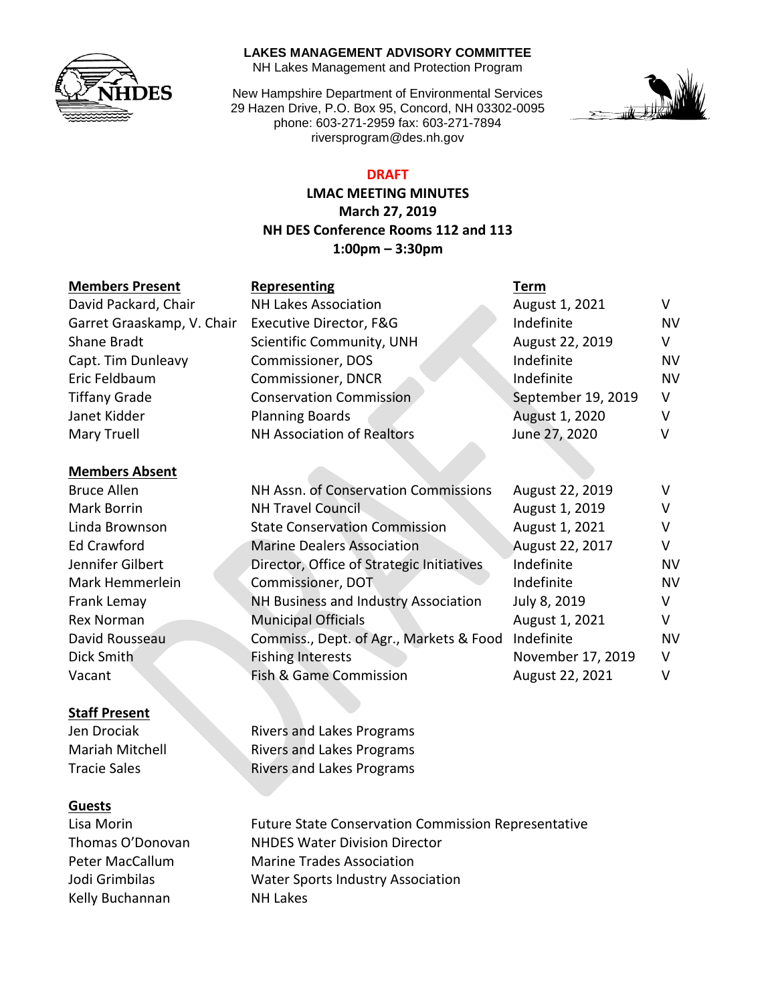

#### **LAKES MANAGEMENT ADVISORY COMMITTEE**

NH Lakes Management and Protection Program

New Hampshire Department of Environmental Services 29 Hazen Drive, P.O. Box 95, Concord, NH 03302-0095 phone: 603-271-2959 fax: 603-271-7894 riversprogram@des.nh.gov



## **DRAFT**

**LMAC MEETING MINUTES March 27, 2019 NH DES Conference Rooms 112 and 113 1:00pm – 3:30pm**

### **Members Present Representing Term**

|                                      | - - - - - -        |           |
|--------------------------------------|--------------------|-----------|
| <b>NH Lakes Association</b>          | August 1, 2021     | v         |
| Executive Director, F&G              | Indefinite         | <b>NV</b> |
| Scientific Community, UNH            | August 22, 2019    | v         |
| Commissioner, DOS                    | Indefinite         | <b>NV</b> |
| <b>Commissioner, DNCR</b>            | Indefinite         | <b>NV</b> |
| <b>Conservation Commission</b>       | September 19, 2019 | V         |
| <b>Planning Boards</b>               | August 1, 2020     | v         |
| <b>NH Association of Realtors</b>    | June 27, 2020      |           |
|                                      |                    |           |
|                                      |                    |           |
| NH Assn. of Conservation Commissions | August 22, 2019    |           |
| Garret Graaskamp, V. Chair           |                    |           |

David Rousseau **Commiss., Dept. of Agr., Markets & Food Indefinite** NV Dick Smith Fishing Interests November 17, 2019 V Vacant **Fish & Game Commission** August 22, 2021 V

Mark Borrin **NH Travel Council August 1, 2019** V Linda Brownson State Conservation Commission August 1, 2021 V Ed Crawford **Marine Dealers Association** August 22, 2017 V Jennifer Gilbert **Director, Office of Strategic Initiatives** Indefinite MV Mark Hemmerlein Commissioner, DOT and indefinite NV Frank Lemay **NH Business and Industry Association** July 8, 2019 V Rex Norman Municipal Officials August 1, 2021 V

#### **Staff Present**

**Jen Drociak Rivers and Lakes Programs** Mariah Mitchell Rivers and Lakes Programs Tracie Sales **Rivers and Lakes Programs** 

#### **Guests**

Kelly Buchannan NH Lakes

Lisa Morin Future State Conservation Commission Representative Thomas O'Donovan NHDES Water Division Director Peter MacCallum Marine Trades Association Jodi Grimbilas Water Sports Industry Association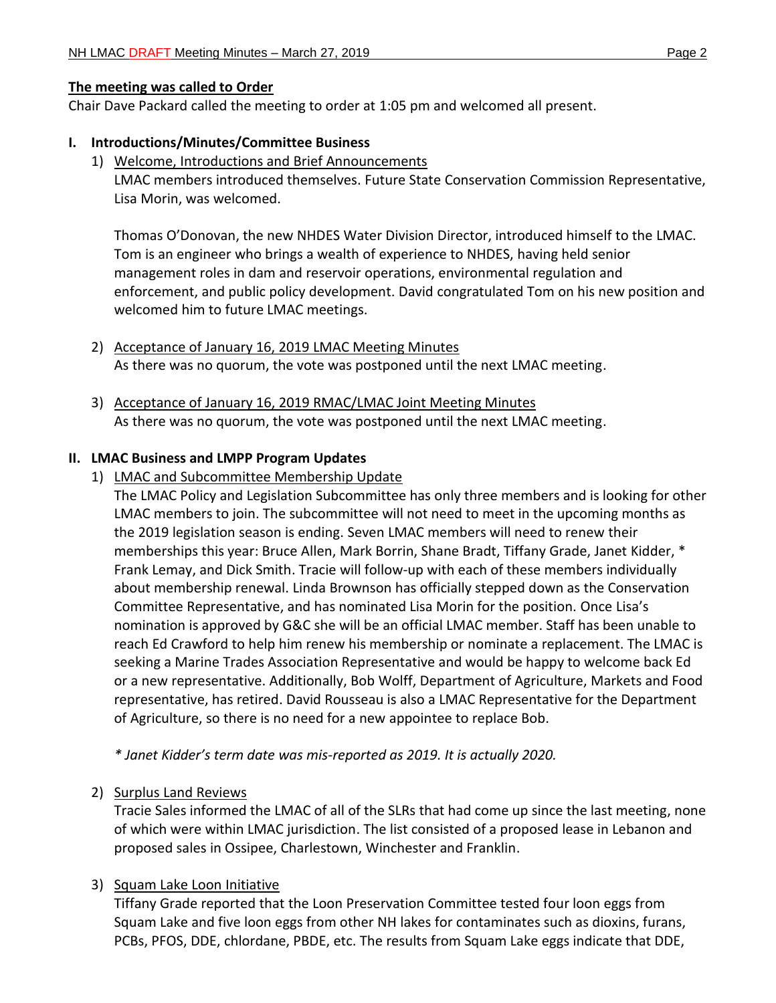### **The meeting was called to Order**

Chair Dave Packard called the meeting to order at 1:05 pm and welcomed all present.

## **I. Introductions/Minutes/Committee Business**

### 1) Welcome, Introductions and Brief Announcements

LMAC members introduced themselves. Future State Conservation Commission Representative, Lisa Morin, was welcomed.

Thomas O'Donovan, the new NHDES Water Division Director, introduced himself to the LMAC. Tom is an engineer who brings a wealth of experience to NHDES, having held senior management roles in dam and reservoir operations, environmental regulation and enforcement, and public policy development. David congratulated Tom on his new position and welcomed him to future LMAC meetings.

- 2) Acceptance of January 16, 2019 LMAC Meeting Minutes As there was no quorum, the vote was postponed until the next LMAC meeting.
- 3) Acceptance of January 16, 2019 RMAC/LMAC Joint Meeting Minutes As there was no quorum, the vote was postponed until the next LMAC meeting.

### **II. LMAC Business and LMPP Program Updates**

### 1) LMAC and Subcommittee Membership Update

The LMAC Policy and Legislation Subcommittee has only three members and is looking for other LMAC members to join. The subcommittee will not need to meet in the upcoming months as the 2019 legislation season is ending. Seven LMAC members will need to renew their memberships this year: Bruce Allen, Mark Borrin, Shane Bradt, Tiffany Grade, Janet Kidder, \* Frank Lemay, and Dick Smith. Tracie will follow-up with each of these members individually about membership renewal. Linda Brownson has officially stepped down as the Conservation Committee Representative, and has nominated Lisa Morin for the position. Once Lisa's nomination is approved by G&C she will be an official LMAC member. Staff has been unable to reach Ed Crawford to help him renew his membership or nominate a replacement. The LMAC is seeking a Marine Trades Association Representative and would be happy to welcome back Ed or a new representative. Additionally, Bob Wolff, Department of Agriculture, Markets and Food representative, has retired. David Rousseau is also a LMAC Representative for the Department of Agriculture, so there is no need for a new appointee to replace Bob.

*\* Janet Kidder's term date was mis-reported as 2019. It is actually 2020.*

## 2) Surplus Land Reviews

Tracie Sales informed the LMAC of all of the SLRs that had come up since the last meeting, none of which were within LMAC jurisdiction. The list consisted of a proposed lease in Lebanon and proposed sales in Ossipee, Charlestown, Winchester and Franklin.

#### 3) Squam Lake Loon Initiative

Tiffany Grade reported that the Loon Preservation Committee tested four loon eggs from Squam Lake and five loon eggs from other NH lakes for contaminates such as dioxins, furans, PCBs, PFOS, DDE, chlordane, PBDE, etc. The results from Squam Lake eggs indicate that DDE,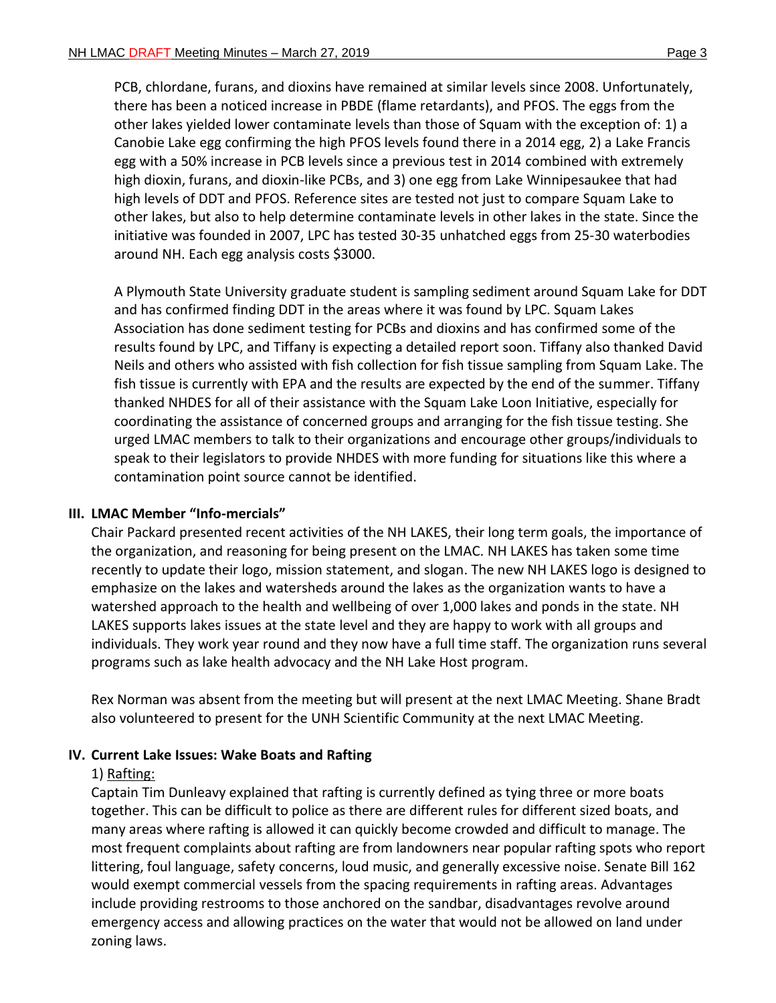PCB, chlordane, furans, and dioxins have remained at similar levels since 2008. Unfortunately, there has been a noticed increase in PBDE (flame retardants), and PFOS. The eggs from the other lakes yielded lower contaminate levels than those of Squam with the exception of: 1) a Canobie Lake egg confirming the high PFOS levels found there in a 2014 egg, 2) a Lake Francis egg with a 50% increase in PCB levels since a previous test in 2014 combined with extremely high dioxin, furans, and dioxin-like PCBs, and 3) one egg from Lake Winnipesaukee that had high levels of DDT and PFOS. Reference sites are tested not just to compare Squam Lake to other lakes, but also to help determine contaminate levels in other lakes in the state. Since the initiative was founded in 2007, LPC has tested 30-35 unhatched eggs from 25-30 waterbodies around NH. Each egg analysis costs \$3000.

A Plymouth State University graduate student is sampling sediment around Squam Lake for DDT and has confirmed finding DDT in the areas where it was found by LPC. Squam Lakes Association has done sediment testing for PCBs and dioxins and has confirmed some of the results found by LPC, and Tiffany is expecting a detailed report soon. Tiffany also thanked David Neils and others who assisted with fish collection for fish tissue sampling from Squam Lake. The fish tissue is currently with EPA and the results are expected by the end of the summer. Tiffany thanked NHDES for all of their assistance with the Squam Lake Loon Initiative, especially for coordinating the assistance of concerned groups and arranging for the fish tissue testing. She urged LMAC members to talk to their organizations and encourage other groups/individuals to speak to their legislators to provide NHDES with more funding for situations like this where a contamination point source cannot be identified.

## **III. LMAC Member "Info-mercials"**

Chair Packard presented recent activities of the NH LAKES, their long term goals, the importance of the organization, and reasoning for being present on the LMAC. NH LAKES has taken some time recently to update their logo, mission statement, and slogan. The new NH LAKES logo is designed to emphasize on the lakes and watersheds around the lakes as the organization wants to have a watershed approach to the health and wellbeing of over 1,000 lakes and ponds in the state. NH LAKES supports lakes issues at the state level and they are happy to work with all groups and individuals. They work year round and they now have a full time staff. The organization runs several programs such as lake health advocacy and the NH Lake Host program.

Rex Norman was absent from the meeting but will present at the next LMAC Meeting. Shane Bradt also volunteered to present for the UNH Scientific Community at the next LMAC Meeting.

## **IV. Current Lake Issues: Wake Boats and Rafting**

## 1) Rafting:

Captain Tim Dunleavy explained that rafting is currently defined as tying three or more boats together. This can be difficult to police as there are different rules for different sized boats, and many areas where rafting is allowed it can quickly become crowded and difficult to manage. The most frequent complaints about rafting are from landowners near popular rafting spots who report littering, foul language, safety concerns, loud music, and generally excessive noise. Senate Bill 162 would exempt commercial vessels from the spacing requirements in rafting areas. Advantages include providing restrooms to those anchored on the sandbar, disadvantages revolve around emergency access and allowing practices on the water that would not be allowed on land under zoning laws.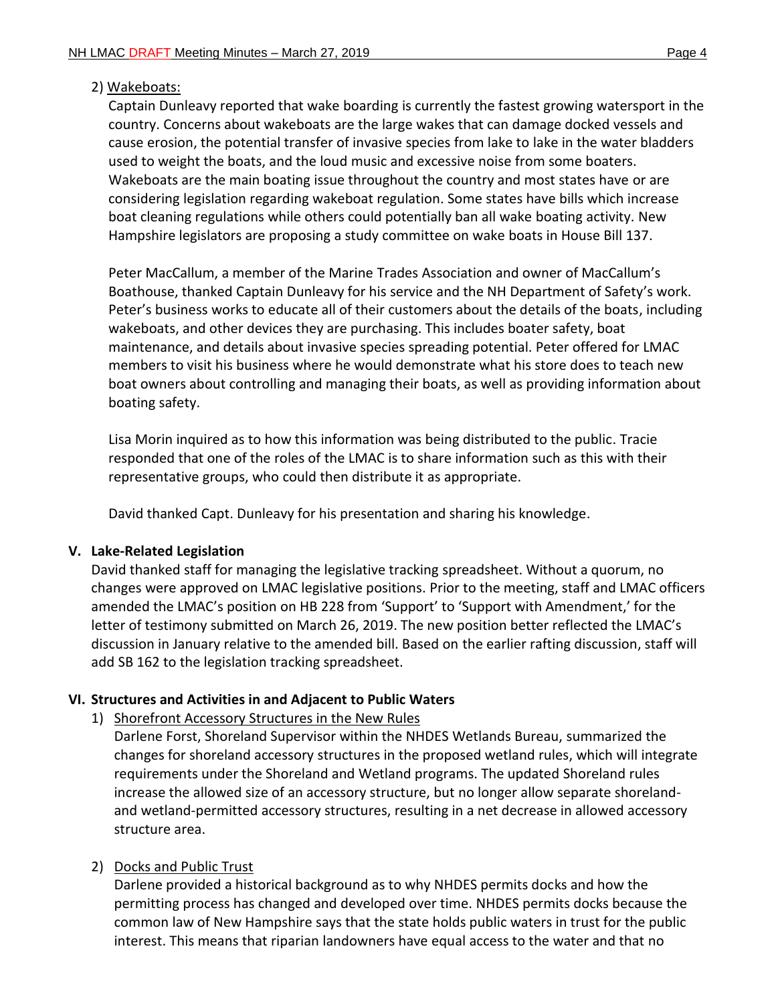## 2) Wakeboats:

Captain Dunleavy reported that wake boarding is currently the fastest growing watersport in the country. Concerns about wakeboats are the large wakes that can damage docked vessels and cause erosion, the potential transfer of invasive species from lake to lake in the water bladders used to weight the boats, and the loud music and excessive noise from some boaters. Wakeboats are the main boating issue throughout the country and most states have or are considering legislation regarding wakeboat regulation. Some states have bills which increase boat cleaning regulations while others could potentially ban all wake boating activity. New Hampshire legislators are proposing a study committee on wake boats in House Bill 137.

Peter MacCallum, a member of the Marine Trades Association and owner of MacCallum's Boathouse, thanked Captain Dunleavy for his service and the NH Department of Safety's work. Peter's business works to educate all of their customers about the details of the boats, including wakeboats, and other devices they are purchasing. This includes boater safety, boat maintenance, and details about invasive species spreading potential. Peter offered for LMAC members to visit his business where he would demonstrate what his store does to teach new boat owners about controlling and managing their boats, as well as providing information about boating safety.

Lisa Morin inquired as to how this information was being distributed to the public. Tracie responded that one of the roles of the LMAC is to share information such as this with their representative groups, who could then distribute it as appropriate.

David thanked Capt. Dunleavy for his presentation and sharing his knowledge.

# **V. Lake-Related Legislation**

David thanked staff for managing the legislative tracking spreadsheet. Without a quorum, no changes were approved on LMAC legislative positions. Prior to the meeting, staff and LMAC officers amended the LMAC's position on HB 228 from 'Support' to 'Support with Amendment,' for the letter of testimony submitted on March 26, 2019. The new position better reflected the LMAC's discussion in January relative to the amended bill. Based on the earlier rafting discussion, staff will add SB 162 to the legislation tracking spreadsheet.

# **VI. Structures and Activities in and Adjacent to Public Waters**

# 1) Shorefront Accessory Structures in the New Rules

Darlene Forst, Shoreland Supervisor within the NHDES Wetlands Bureau, summarized the changes for shoreland accessory structures in the proposed wetland rules, which will integrate requirements under the Shoreland and Wetland programs. The updated Shoreland rules increase the allowed size of an accessory structure, but no longer allow separate shorelandand wetland-permitted accessory structures, resulting in a net decrease in allowed accessory structure area.

# 2) Docks and Public Trust

Darlene provided a historical background as to why NHDES permits docks and how the permitting process has changed and developed over time. NHDES permits docks because the common law of New Hampshire says that the state holds public waters in trust for the public interest. This means that riparian landowners have equal access to the water and that no